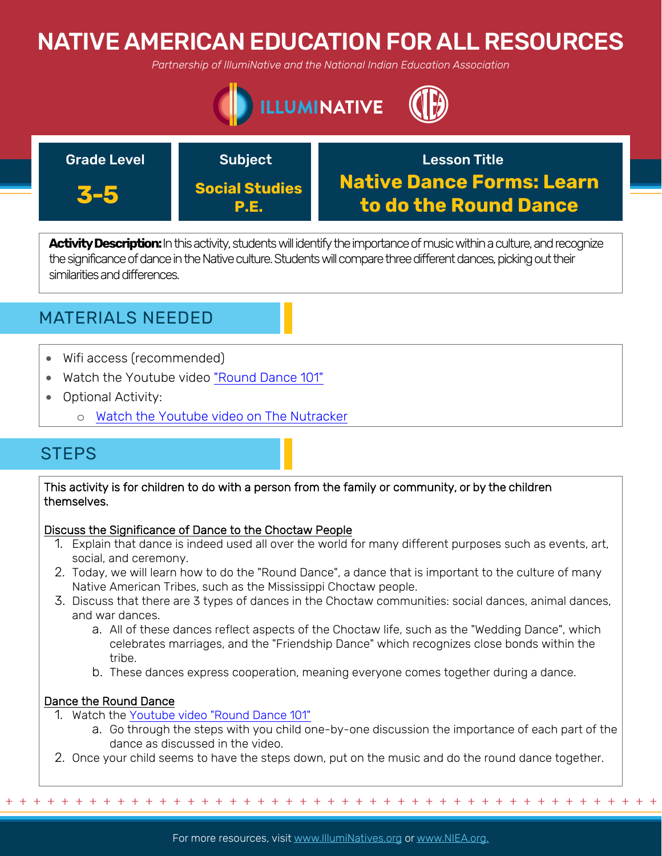# NATIVE AMERICAN EDUCATION FOR ALL RESOURCES

*Partnership of IllumiNative and the National Indian Education Association*





Activity Description: In this activity, students will identify the importance of music within a culture, and recognize the significance of dance in the Native culture. Students will compare three different dances, picking out their similarities and differences.

## MATERIALS NEEDED

- Wifi access (recommended)
- Watch the Youtube video ["Round Dance 101"](https://www.youtube.com/watch?v=626MhRl6aFQ&feature=youtu.be)
- Optional Activity:
	- o [Watch the Youtube video on The Nutracker](https://youtu.be/zV1qLYukTH8)

## **STEPS**

This activity is for children to do with a person from the family or community, or by the children themselves.

### Discuss the Significance of Dance to the Choctaw People

- 1. Explain that dance is indeed used all over the world for many different purposes such as events, art, social, and ceremony.
- 2. Today, we will learn how to do the "Round Dance", a dance that is important to the culture of many Native American Tribes, such as the Mississippi Choctaw people.
- 3. Discuss that there are 3 types of dances in the Choctaw communities: social dances, animal dances, and war dances.
	- a. All of these dances reflect aspects of the Choctaw life, such as the "Wedding Dance", which celebrates marriages, and the "Friendship Dance" which recognizes close bonds within the tribe.
	- b. These dances express cooperation, meaning everyone comes together during a dance.

### Dance the Round Dance

- 1. Watch the [Youtube video "Round Dance 101"](https://www.youtube.com/watch?v=626MhRl6aFQ&feature=youtu.be)
	- a. Go through the steps with you child one-by-one discussion the importance of each part of the dance as discussed in the video.
- 2. Once your child seems to have the steps down, put on the music and do the round dance together.

For more resources, visit www.lllumiNatives.org or www.NIEA.org.

+ + + + + + + + + + + + + + + + + + + + + + + + + + + + + + + + + + + + + + + + + + + + + + + +